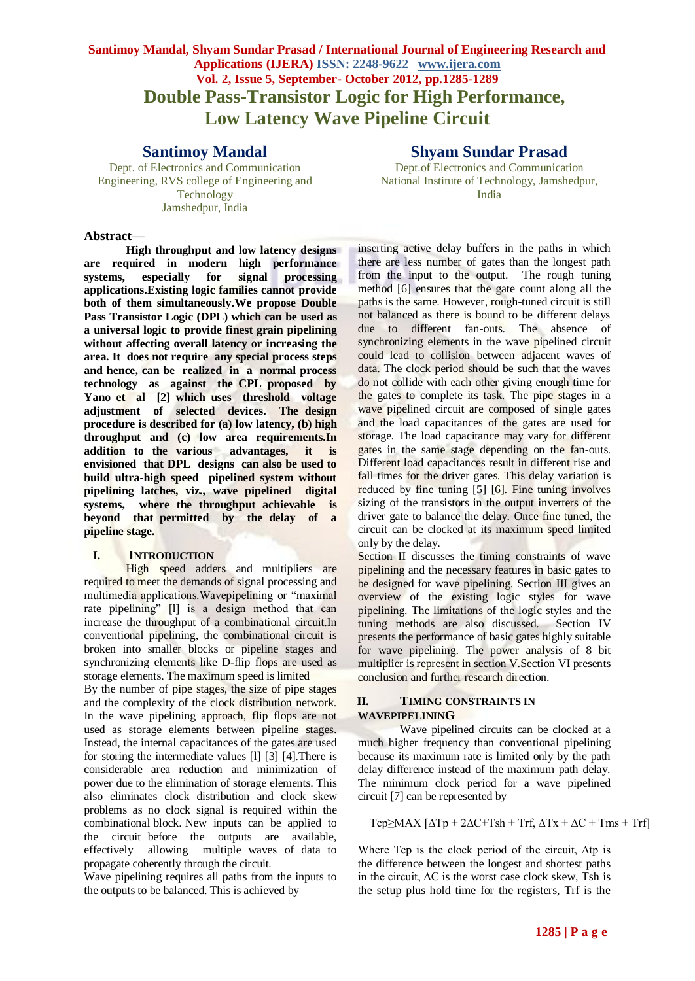# **Santimoy Mandal, Shyam Sundar Prasad / International Journal of Engineering Research and Applications (IJERA) ISSN: 2248-9622 www.ijera.com Vol. 2, Issue 5, September- October 2012, pp.1285-1289 Double Pass-Transistor Logic for High Performance, Low Latency Wave Pipeline Circuit**

# **Santimoy Mandal**

Dept. of Electronics and Communication Engineering, RVS college of Engineering and Technology Jamshedpur, India

#### **Abstract—**

**High throughput and low latency designs are required in modern high performance systems, especially for signal processing applications.Existing logic families cannot provide both of them simultaneously.We propose Double Pass Transistor Logic (DPL) which can be used as a universal logic to provide finest grain pipelining without affecting overall latency or increasing the area. It does not require any special process steps and hence, can be realized in a normal process technology as against the CPL proposed by Yano et al [2] which uses threshold voltage adjustment of selected devices. The design procedure is described for (a) low latency, (b) high throughput and (c) low area requirements.In addition to the various advantages, it is envisioned that DPL designs can also be used to build ultra-high speed pipelined system without pipelining latches, viz., wave pipelined digital systems, where the throughput achievable is beyond that permitted by the delay of a pipeline stage.**

#### **I. INTRODUCTION**

High speed adders and multipliers are required to meet the demands of signal processing and multimedia applications.Wavepipelining or "maximal rate pipelining" [l] is a design method that can increase the throughput of a combinational circuit.In conventional pipelining, the combinational circuit is broken into smaller blocks or pipeline stages and synchronizing elements like D-flip flops are used as storage elements. The maximum speed is limited

By the number of pipe stages, the size of pipe stages and the complexity of the clock distribution network. In the wave pipelining approach, flip flops are not used as storage elements between pipeline stages. Instead, the internal capacitances of the gates are used for storing the intermediate values [l] [3] [4].There is considerable area reduction and minimization of power due to the elimination of storage elements. This also eliminates clock distribution and clock skew problems as no clock signal is required within the combinational block. New inputs can be applied to the circuit before the outputs are available, effectively allowing multiple waves of data to propagate coherently through the circuit.

Wave pipelining requires all paths from the inputs to the outputs to be balanced. This is achieved by

# **Shyam Sundar Prasad**

Dept.of Electronics and Communication National Institute of Technology, Jamshedpur, India

inserting active delay buffers in the paths in which there are less number of gates than the longest path from the input to the output. The rough tuning method [6] ensures that the gate count along all the paths is the same. However, rough-tuned circuit is still not balanced as there is bound to be different delays due to different fan-outs. The absence of synchronizing elements in the wave pipelined circuit could lead to collision between adjacent waves of data. The clock period should be such that the waves do not collide with each other giving enough time for the gates to complete its task. The pipe stages in a wave pipelined circuit are composed of single gates and the load capacitances of the gates are used for storage. The load capacitance may vary for different gates in the same stage depending on the fan-outs. Different load capacitances result in different rise and fall times for the driver gates. This delay variation is reduced by fine tuning [5] [6]. Fine tuning involves sizing of the transistors in the output inverters of the driver gate to balance the delay. Once fine tuned, the circuit can be clocked at its maximum speed limited only by the delay.

Section II discusses the timing constraints of wave pipelining and the necessary features in basic gates to be designed for wave pipelining. Section III gives an overview of the existing logic styles for wave pipelining. The limitations of the logic styles and the tuning methods are also discussed. Section IV presents the performance of basic gates highly suitable for wave pipelining. The power analysis of 8 bit multiplier is represent in section V.Section VI presents conclusion and further research direction.

#### **II. TIMING CONSTRAINTS IN WAVEPIPELINING**

Wave pipelined circuits can be clocked at a much higher frequency than conventional pipelining because its maximum rate is limited only by the path delay difference instead of the maximum path delay. The minimum clock period for a wave pipelined circuit [7] can be represented by

Tcp≥MAX  $[\Delta Tp + 2\Delta C + Tsh + Trf, \Delta Tx + \Delta C + Tms + Trf]$ 

Where Tcp is the clock period of the circuit, ∆tp is the difference between the longest and shortest paths in the circuit, ∆C is the worst case clock skew, Tsh is the setup plus hold time for the registers, Trf is the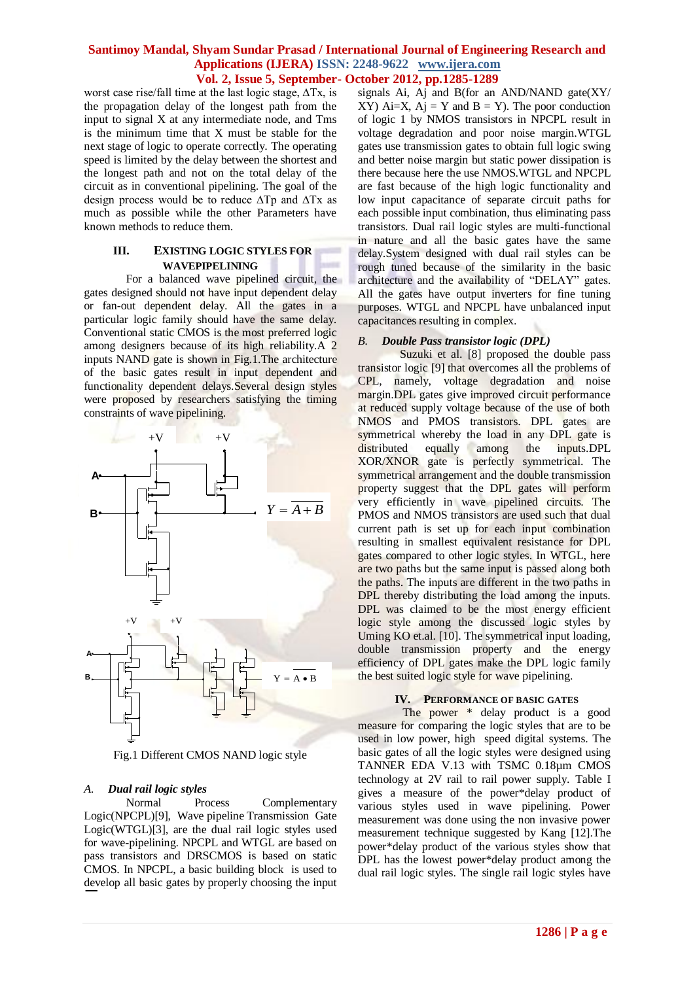worst case rise/fall time at the last logic stage, ∆Tx, is the propagation delay of the longest path from the input to signal X at any intermediate node, and Tms is the minimum time that X must be stable for the next stage of logic to operate correctly. The operating speed is limited by the delay between the shortest and the longest path and not on the total delay of the circuit as in conventional pipelining. The goal of the design process would be to reduce ∆Tp and ∆Tx as much as possible while the other Parameters have known methods to reduce them.

#### **III. EXISTING LOGIC STYLES FOR WAVEPIPELINING**

For a balanced wave pipelined circuit, the gates designed should not have input dependent delay or fan-out dependent delay. All the gates in a particular logic family should have the same delay. Conventional static CMOS is the most preferred logic among designers because of its high reliability.A 2 inputs NAND gate is shown in Fig.1.The architecture of the basic gates result in input dependent and functionality dependent delays.Several design styles were proposed by researchers satisfying the timing constraints of wave pipelining.



Fig.1 Different CMOS NAND logic style

# *A. Dual rail logic styles*

Normal Process Complementary Logic(NPCPL)[9], Wave pipeline Transmission Gate Logic(WTGL)[3], are the dual rail logic styles used for wave-pipelining. NPCPL and WTGL are based on pass transistors and DRSCMOS is based on static CMOS. In NPCPL, a basic building block is used to develop all basic gates by properly choosing the input

signals Ai, Aj and B(for an AND/NAND gate $(XY)$ XY) Ai=X, Aj = Y and B = Y). The poor conduction of logic 1 by NMOS transistors in NPCPL result in voltage degradation and poor noise margin.WTGL gates use transmission gates to obtain full logic swing and better noise margin but static power dissipation is there because here the use NMOS.WTGL and NPCPL are fast because of the high logic functionality and low input capacitance of separate circuit paths for each possible input combination, thus eliminating pass transistors. Dual rail logic styles are multi-functional in nature and all the basic gates have the same delay.System designed with dual rail styles can be rough tuned because of the similarity in the basic architecture and the availability of "DELAY" gates. All the gates have output inverters for fine tuning purposes. WTGL and NPCPL have unbalanced input capacitances resulting in complex.

## *B. Double Pass transistor logic (DPL)*

Suzuki et al. [8] proposed the double pass transistor logic [9] that overcomes all the problems of CPL, namely, voltage degradation and noise margin.DPL gates give improved circuit performance at reduced supply voltage because of the use of both NMOS and PMOS transistors. DPL gates are symmetrical whereby the load in any DPL gate is distributed equally among the inputs.DPL XOR/XNOR gate is perfectly symmetrical. The symmetrical arrangement and the double transmission property suggest that the DPL gates will perform very efficiently in wave pipelined circuits. The PMOS and NMOS transistors are used such that dual current path is set up for each input combination resulting in smallest equivalent resistance for DPL gates compared to other logic styles. In WTGL, here are two paths but the same input is passed along both the paths. The inputs are different in the two paths in DPL thereby distributing the load among the inputs. DPL was claimed to be the most energy efficient logic style among the discussed logic styles by Uming KO et.al. [10]. The symmetrical input loading, double transmission property and the energy efficiency of DPL gates make the DPL logic family the best suited logic style for wave pipelining.

## **IV. PERFORMANCE OF BASIC GATES**

The power \* delay product is a good measure for comparing the logic styles that are to be used in low power, high speed digital systems. The basic gates of all the logic styles were designed using TANNER EDA V.13 with TSMC 0.18µm CMOS technology at 2V rail to rail power supply. Table I gives a measure of the power\*delay product of various styles used in wave pipelining. Power measurement was done using the non invasive power measurement technique suggested by Kang [12].The power\*delay product of the various styles show that DPL has the lowest power\*delay product among the dual rail logic styles. The single rail logic styles have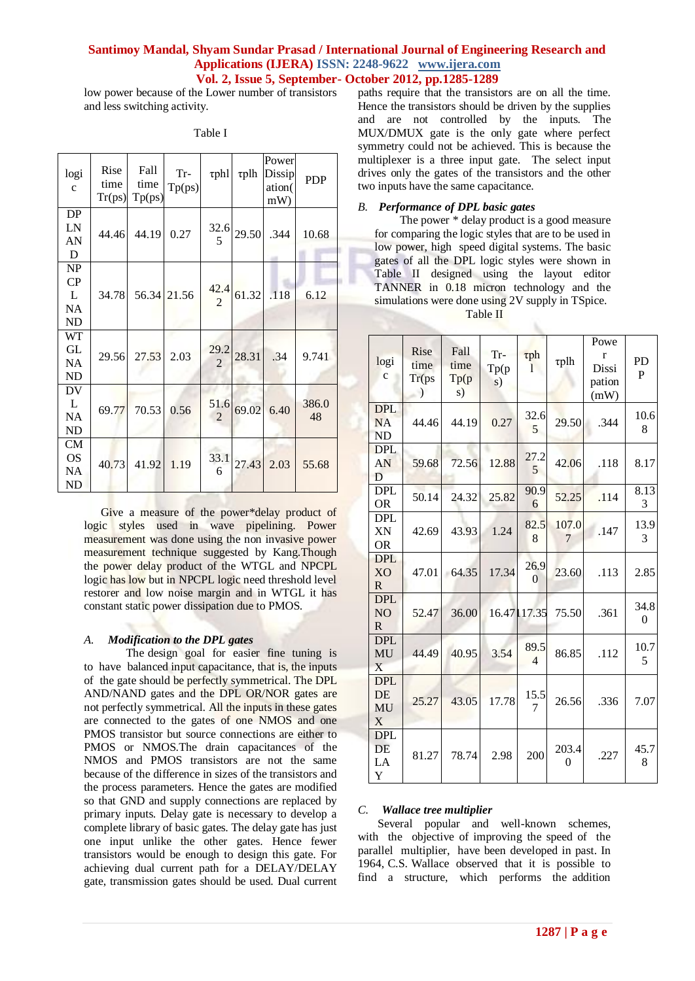low power because of the Lower number of transistors and less switching activity.

| logi<br>$\mathbf{C}$                           | Rise<br>time<br>Tr(ps) | Fall<br>time<br>Tp(ps) | Tr-<br>Tp(ps) | $\tau$ phl             | $\tau$ plh | Power<br>Dissip<br>ation(<br>mW | <b>PDP</b>  |
|------------------------------------------------|------------------------|------------------------|---------------|------------------------|------------|---------------------------------|-------------|
| DP<br>LN<br>AN<br>D                            | 44.46                  | 44.19                  | 0.27          | 32.6<br>5              | 29.50      | .344                            | 10.68       |
| NP<br>CP<br>L<br><b>NA</b><br>ND               | 34.78                  |                        | 56.34 21.56   | 42.4<br>$\mathfrak{D}$ | 61.32      | .118                            | 6.12        |
| WT<br>GL<br>NA<br><b>ND</b>                    | 29.56                  | 27.53                  | 2.03          | 29.2<br>$\overline{2}$ | 28.31      | .34                             | 9.741       |
| DV<br>L<br><b>NA</b><br><b>ND</b>              | 69.77                  | 70.53                  | 0.56          | 51.6<br>$\overline{2}$ | 69.02      | 6.40                            | 386.0<br>48 |
| CM<br><b>OS</b><br><b>NA</b><br>N <sub>D</sub> | 40.73                  | 41.92                  | 1.19          | 33.1<br>6              | 27.43      | 2.03                            | 55.68       |

Table I

Give a measure of the power\*delay product of logic styles used in wave pipelining. Power measurement was done using the non invasive power measurement technique suggested by Kang.Though the power delay product of the WTGL and NPCPL logic has low but in NPCPL logic need threshold level restorer and low noise margin and in WTGL it has constant static power dissipation due to PMOS.

## *A. Modification to the DPL gates*

The design goal for easier fine tuning is to have balanced input capacitance, that is, the inputs of the gate should be perfectly symmetrical. The DPL AND/NAND gates and the DPL OR/NOR gates are not perfectly symmetrical. All the inputs in these gates are connected to the gates of one NMOS and one PMOS transistor but source connections are either to PMOS or NMOS.The drain capacitances of the NMOS and PMOS transistors are not the same because of the difference in sizes of the transistors and the process parameters. Hence the gates are modified so that GND and supply connections are replaced by primary inputs. Delay gate is necessary to develop a complete library of basic gates. The delay gate has just one input unlike the other gates. Hence fewer transistors would be enough to design this gate. For achieving dual current path for a DELAY/DELAY gate, transmission gates should be used. Dual current

paths require that the transistors are on all the time. Hence the transistors should be driven by the supplies and are not controlled by the inputs. The MUX/DMUX gate is the only gate where perfect symmetry could not be achieved. This is because the multiplexer is a three input gate. The select input drives only the gates of the transistors and the other two inputs have the same capacitance.

#### *B. Performance of DPL basic gates*

The power \* delay product is a good measure for comparing the logic styles that are to be used in low power, high speed digital systems. The basic gates of all the DPL logic styles were shown in Table II designed using the layout editor TANNER in 0.18 micron technology and the simulations were done using 2V supply in TSpice.

| anie |  |
|------|--|
|      |  |

| logi<br>$\mathbf c$                          | Rise<br>time<br>Tr(ps)<br>$\mathcal{L}$ | Fall<br>time<br>Tp(p)<br>s) | Tr-<br>Tp(p)<br>s) | $\tau$ ph<br>1         | $\tau$ plh | Powe<br>r<br>Dissi<br>pation<br>(mW) | <b>PD</b><br>P         |
|----------------------------------------------|-----------------------------------------|-----------------------------|--------------------|------------------------|------------|--------------------------------------|------------------------|
| <b>DPL</b><br><b>NA</b><br><b>ND</b>         | 44.46                                   | 44.19                       | 0.27               | 32.6<br>5              | 29.50      | .344                                 | 10.6<br>8              |
| <b>DPL</b><br>AN<br>D                        | 59.68                                   | 72.56                       | 12.88              | 27.2<br>5              | 42.06      | .118                                 | 8.17                   |
| <b>DPL</b><br><b>OR</b>                      | 50.14                                   | 24.32                       | 25.82              | 90.9<br>6              | 52.25      | .114                                 | 8.13<br>3              |
| <b>DPL</b><br>XN<br><b>OR</b>                | 42.69                                   | 43.93                       | 1.24               | 82.5<br>8              | 107.0<br>7 | .147                                 | 13.9<br>3              |
| <b>DPL</b><br><b>XO</b><br>$\mathbf R$       | 47.01                                   | 64.35                       | 17.34              | 26.9<br>$\Omega$       | 23.60      | .113                                 | 2.85                   |
| <b>DPL</b><br>N <sub>O</sub><br>$\mathbf{R}$ | 52.47                                   | 36.00                       |                    | 16.47   17.35          | 75.50      | .361                                 | 34.8<br>$\overline{0}$ |
| <b>DPL</b><br>MU<br>X                        | 44.49                                   | 40.95                       | 3.54               | 89.5<br>$\overline{4}$ | 86.85      | .112                                 | 10.7<br>5              |
| <b>DPL</b><br>DE<br>MU<br>X                  | 25.27                                   | 43.05                       | 17.78              | 15.5<br>7              | 26.56      | .336                                 | 7.07                   |
| <b>DPL</b><br>DE<br>LA<br>Y                  | 81.27                                   | 78.74                       | 2.98               | 200                    | 203.4<br>0 | .227                                 | 45.7<br>8              |

#### *C. Wallace tree multiplier*

Several popular and well-known schemes, with the objective of improving the speed of the parallel multiplier, have been developed in past. In 1964, C.S. Wallace observed that it is possible to find a structure, which performs the addition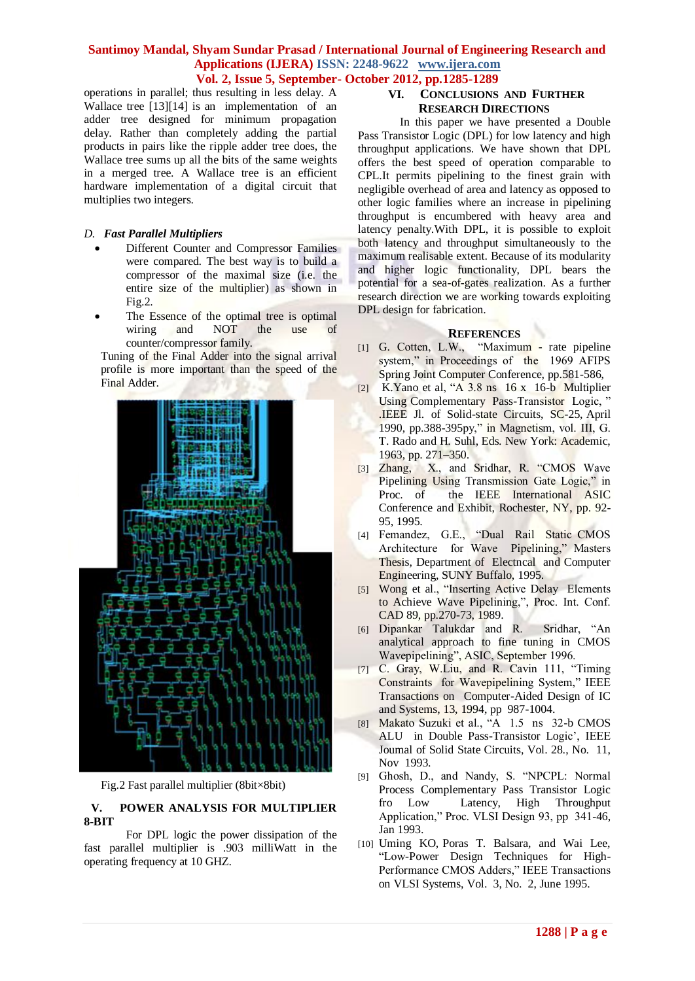operations in parallel; thus resulting in less delay. A Wallace tree [13][14] is an implementation of an adder tree designed for minimum propagation delay. Rather than completely adding the partial products in pairs like the ripple adder tree does, the Wallace tree sums up all the bits of the same weights in a merged tree. A Wallace tree is an efficient hardware implementation of a digital circuit that multiplies two integers.

## *D. Fast Parallel Multipliers*

- Different Counter and Compressor Families were compared. The best way is to build a compressor of the maximal size (i.e. the entire size of the multiplier) as shown in Fig.2.
- The Essence of the optimal tree is optimal wiring and NOT the use of counter/compressor family.

Tuning of the Final Adder into the signal arrival profile is more important than the speed of the Final Adder.



Fig.2 Fast parallel multiplier (8bit×8bit)

# **V. POWER ANALYSIS FOR MULTIPLIER 8-BIT**

For DPL logic the power dissipation of the fast parallel multiplier is .903 milliWatt in the operating frequency at 10 GHZ.

# **VI. CONCLUSIONS AND FURTHER RESEARCH DIRECTIONS**

In this paper we have presented a Double Pass Transistor Logic (DPL) for low latency and high throughput applications. We have shown that DPL offers the best speed of operation comparable to CPL.It permits pipelining to the finest grain with negligible overhead of area and latency as opposed to other logic families where an increase in pipelining throughput is encumbered with heavy area and latency penalty.With DPL, it is possible to exploit both latency and throughput simultaneously to the maximum realisable extent. Because of its modularity and higher logic functionality, DPL bears the potential for a sea-of-gates realization. As a further research direction we are working towards exploiting DPL design for fabrication.

# **REFERENCES**

- [1] G. Cotten, L.W., "Maximum rate pipeline system," in Proceedings of the 1969 AFIPS Spring Joint Computer Conference, pp.581-586,
- [2] K.Yano et al, "A 3.8 ns 16 x 16-b Multiplier Using Complementary Pass-Transistor Logic, " .IEEE Jl. of Solid-state Circuits, SC-25, April 1990, pp.388-395py," in Magnetism, vol. III, G. T. Rado and H. Suhl, Eds. New York: Academic, 1963, pp. 271–350.
- [3] Zhang, X., and Sridhar, R. "CMOS Wave Pipelining Using Transmission Gate Logic," in Proc. of the IEEE International ASIC Conference and Exhibit, Rochester, NY, pp. 92- 95, 1995.
- [4] Femandez, G.E., "Dual Rail Static CMOS Architecture for Wave Pipelining," Masters Thesis, Department of Electncal and Computer Engineering, SUNY Buffalo, 1995.
- [5] Wong et al., "Inserting Active Delay Elements to Achieve Wave Pipelining,", Proc. Int. Conf. CAD 89, pp.270-73, 1989.
- [6] Dipankar Talukdar and R. Sridhar, "An analytical approach to fine tuning in CMOS Wavepipelining", ASIC, September 1996.
- [7] C. Gray, W.Liu, and R. Cavin 111, "Timing Constraints for Wavepipelining System," IEEE Transactions on Computer-Aided Design of IC and Systems, 13, 1994, pp 987-1004.
- [8] Makato Suzuki et al., "A 1.5 ns 32-b CMOS ALU in Double Pass-Transistor Logic', IEEE Joumal of Solid State Circuits, Vol. 28., No. 11, Nov 1993.
- [9] Ghosh, D., and Nandy, S. "NPCPL: Normal Process Complementary Pass Transistor Logic<br>fro Low Latency, High Throughput Latency, High Throughput Application," Proc. VLSI Design 93, pp 341-46, Jan 1993.
- [10] Uming KO, Poras T. Balsara, and Wai Lee, "Low-Power Design Techniques for High-Performance CMOS Adders," IEEE Transactions on VLSI Systems, Vol. 3, No. 2, June 1995.